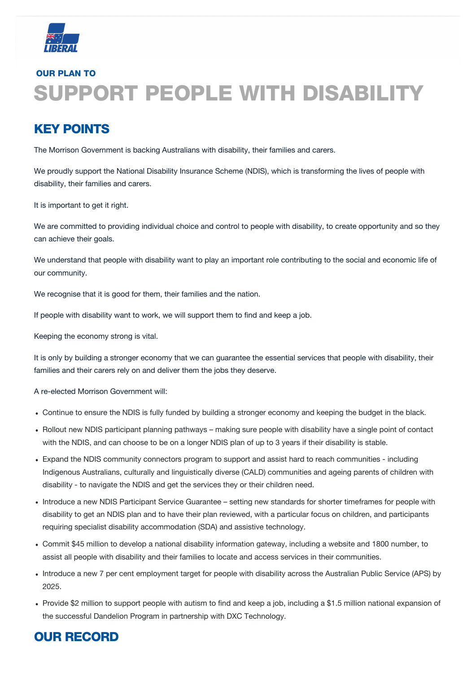

# OUR PLAN TO SUPPORT PEOPLE WITH DISABILITY

# KEY POINTS

The Morrison Government is backing Australians with disability, their families and carers.

We proudly support the National Disability Insurance Scheme (NDIS), which is transforming the lives of people with disability, their families and carers.

We are committed to providing individual choice and control to people with disability, to create opportunity and so they can achieve their goals.

It is important to get it right.

- Continue to ensure the NDIS is fully funded by building a stronger economy and keeping the budget in the black.
- Rollout new NDIS participant planning pathways making sure people with disability have a single point of contact with the NDIS, and can choose to be on a longer NDIS plan of up to 3 years if their disability is stable.
- Expand the NDIS community connectors program to support and assist hard to reach communities including Indigenous Australians, culturally and linguistically diverse (CALD) communities and ageing parents of children with disability - to navigate the NDIS and get the services they or their children need.
- Introduce a new NDIS Participant Service Guarantee setting new standards for shorter timeframes for people with

We understand that people with disability want to play an important role contributing to the social and economic life of our community.

We recognise that it is good for them, their families and the nation.

If people with disability want to work, we will support them to find and keep a job.

Keeping the economy strong is vital.

It is only by building a stronger economy that we can guarantee the essential services that people with disability, their families and their carers rely on and deliver them the jobs they deserve.

A re-elected Morrison Government will:

disability to get an NDIS plan and to have their plan reviewed, with a particular focus on children, and participants requiring specialist disability accommodation (SDA) and assistive technology.

- Commit \$45 million to develop a national disability information gateway, including a website and 1800 number, to assist all people with disability and their families to locate and access services in their communities.
- Introduce a new 7 per cent employment target for people with disability across the Australian Public Service (APS) by 2025.
- Provide \$2 million to support people with autism to find and keep a job, including a \$1.5 million national expansion of the successful Dandelion Program in partnership with DXC Technology.

# OUR RECORD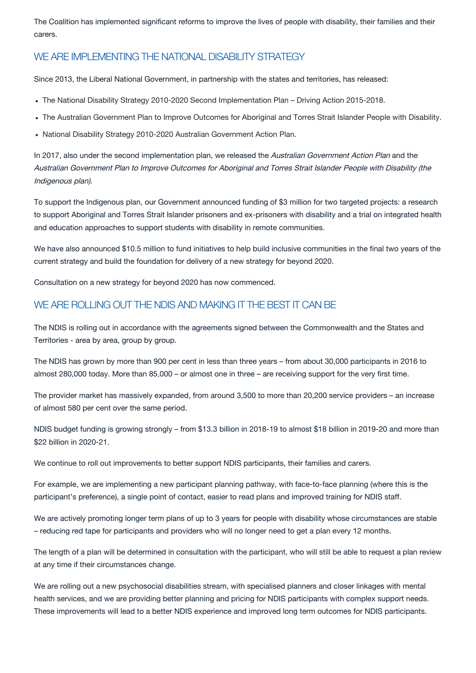The Coalition has implemented significant reforms to improve the lives of people with disability, their families and their carers.

- The National Disability Strategy 2010-2020 Second Implementation Plan Driving Action 2015-2018.
- The Australian Government Plan to Improve Outcomes for Aboriginal and Torres Strait Islander People with Disability.
- National Disability Strategy 2010-2020 Australian Government Action Plan.

### WE ARE IMPLEMENTING THE NATIONAL DISABILITY STRATEGY

Since 2013, the Liberal National Government, in partnership with the states and territories, has released:

In 2017, also under the second implementation plan, we released the Australian Government Action Plan and the Australian Government Plan to Improve Outcomes for Aboriginal and Torres Strait Islander People with Disability (the Indigenous plan).

To support the Indigenous plan, our Government announced funding of \$3 million for two targeted projects: a research to support Aboriginal and Torres Strait Islander prisoners and ex-prisoners with disability and a trial on integrated health and education approaches to support students with disability in remote communities.

We have also announced \$10.5 million to fund initiatives to help build inclusive communities in the final two years of the current strategy and build the foundation for delivery of a new strategy for beyond 2020.

Consultation on a new strategy for beyond 2020 has now commenced.

### WE ARE ROLLING OUT THE NDIS AND MAKING IT THE BEST IT CAN BE

The NDIS is rolling out in accordance with the agreements signed between the Commonwealth and the States and Territories - area by area, group by group.

The NDIS has grown by more than 900 per cent in less than three years – from about 30,000 participants in 2016 to almost 280,000 today. More than 85,000 – or almost one in three – are receiving support for the very first time.

The provider market has massively expanded, from around 3,500 to more than 20,200 service providers – an increase of almost 580 per cent over the same period.

NDIS budget funding is growing strongly – from \$13.3 billion in 2018-19 to almost \$18 billion in 2019-20 and more than \$22 billion in 2020-21.

We continue to roll out improvements to better support NDIS participants, their families and carers.

For example, we are implementing a new participant planning pathway, with face-to-face planning (where this is the participant's preference), a single point of contact, easier to read plans and improved training for NDIS staff.

We are actively promoting longer term plans of up to 3 years for people with disability whose circumstances are stable – reducing red tape for participants and providers who will no longer need to get a plan every 12 months.

The length of a plan will be determined in consultation with the participant, who will still be able to request a plan review at any time if their circumstances change.

We are rolling out a new psychosocial disabilities stream, with specialised planners and closer linkages with mental health services, and we are providing better planning and pricing for NDIS participants with complex support needs. These improvements will lead to a better NDIS experience and improved long term outcomes for NDIS participants.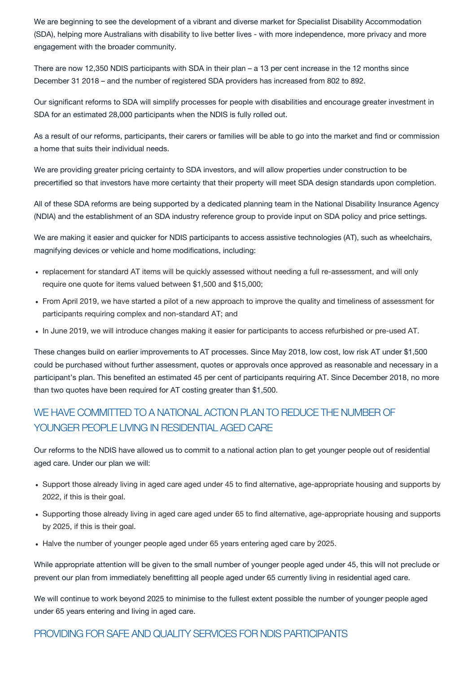We are beginning to see the development of a vibrant and diverse market for Specialist Disability Accommodation (SDA), helping more Australians with disability to live better lives - with more independence, more privacy and more engagement with the broader community.

There are now 12,350 NDIS participants with SDA in their plan – a 13 per cent increase in the 12 months since December 31 2018 – and the number of registered SDA providers has increased from 802 to 892.

Our significant reforms to SDA will simplify processes for people with disabilities and encourage greater investment in SDA for an estimated 28,000 participants when the NDIS is fully rolled out.

- replacement for standard AT items will be quickly assessed without needing a full re-assessment, and will only require one quote for items valued between \$1,500 and \$15,000;
- From April 2019, we have started a pilot of a new approach to improve the quality and timeliness of assessment for participants requiring complex and non-standard AT; and
- In June 2019, we will introduce changes making it easier for participants to access refurbished or pre-used AT.

As a result of our reforms, participants, their carers or families will be able to go into the market and find or commission a home that suits their individual needs.

We are providing greater pricing certainty to SDA investors, and will allow properties under construction to be precertified so that investors have more certainty that their property will meet SDA design standards upon completion.

All of these SDA reforms are being supported by a dedicated planning team in the National Disability Insurance Agency (NDIA) and the establishment of an SDA industry reference group to provide input on SDA policy and price settings.

We are making it easier and quicker for NDIS participants to access assistive technologies (AT), such as wheelchairs, magnifying devices or vehicle and home modifications, including:

These changes build on earlier improvements to AT processes. Since May 2018, low cost, low risk AT under \$1,500 could be purchased without further assessment, quotes or approvals once approved as reasonable and necessary in a participant's plan. This benefited an estimated 45 per cent of participants requiring AT. Since December 2018, no more than two quotes have been required for AT costing greater than \$1,500.

# WE HAVE COMMITTED TO A NATIONAL ACTION PLAN TO REDUCE THE NUMBER OF YOUNGER PEOPLE LIVING IN RESIDENTIAL AGED CARE

Our reforms to the NDIS have allowed us to commit to a national action plan to get younger people out of residential aged care. Under our plan we will:

- Support those already living in aged care aged under 45 to find alternative, age-appropriate housing and supports by 2022, if this is their goal.
- Supporting those already living in aged care aged under 65 to find alternative, age-appropriate housing and supports by 2025, if this is their goal.
- Halve the number of younger people aged under 65 years entering aged care by 2025.

While appropriate attention will be given to the small number of younger people aged under 45, this will not preclude or prevent our plan from immediately benefitting all people aged under 65 currently living in residential aged care.

We will continue to work beyond 2025 to minimise to the fullest extent possible the number of younger people aged under 65 years entering and living in aged care.

PROVIDING FOR SAFE AND QUALITY SERVICES FOR NDIS PARTICIPANTS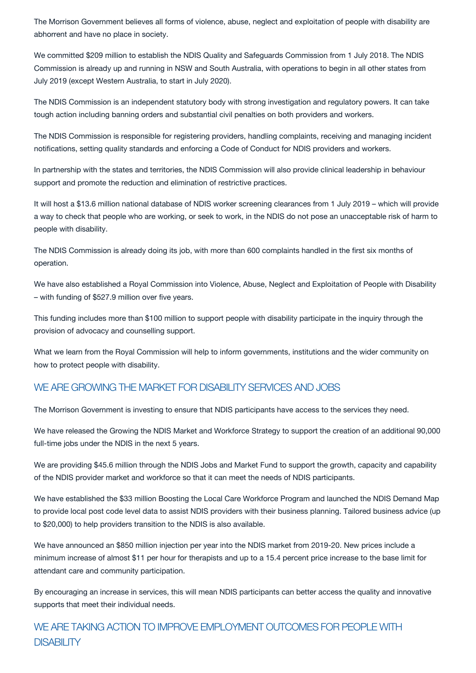The Morrison Government believes all forms of violence, abuse, neglect and exploitation of people with disability are abhorrent and have no place in society.

We committed \$209 million to establish the NDIS Quality and Safeguards Commission from 1 July 2018. The NDIS Commission is already up and running in NSW and South Australia, with operations to begin in all other states from July 2019 (except Western Australia, to start in July 2020).

The NDIS Commission is an independent statutory body with strong investigation and regulatory powers. It can take tough action including banning orders and substantial civil penalties on both providers and workers.

The NDIS Commission is responsible for registering providers, handling complaints, receiving and managing incident notifications, setting quality standards and enforcing a Code of Conduct for NDIS providers and workers.

In partnership with the states and territories, the NDIS Commission will also provide clinical leadership in behaviour support and promote the reduction and elimination of restrictive practices.

It will host a \$13.6 million national database of NDIS worker screening clearances from 1 July 2019 – which will provide a way to check that people who are working, or seek to work, in the NDIS do not pose an unacceptable risk of harm to people with disability.

The NDIS Commission is already doing its job, with more than 600 complaints handled in the first six months of operation.

We have also established a Royal Commission into Violence, Abuse, Neglect and Exploitation of People with Disability – with funding of \$527.9 million over five years.

# WE ARE TAKING ACTION TO IMPROVE EMPLOYMENT OUTCOMES FOR PEOPLE WITH **DISABILITY**

This funding includes more than \$100 million to support people with disability participate in the inquiry through the provision of advocacy and counselling support.

What we learn from the Royal Commission will help to inform governments, institutions and the wider community on how to protect people with disability.

#### WE ARE GROWING THE MARKET FOR DISABILITY SERVICES AND JOBS

The Morrison Government is investing to ensure that NDIS participants have access to the services they need.

We have released the Growing the NDIS Market and Workforce Strategy to support the creation of an additional 90,000 full-time jobs under the NDIS in the next 5 years.

We are providing \$45.6 million through the NDIS Jobs and Market Fund to support the growth, capacity and capability of the NDIS provider market and workforce so that it can meet the needs of NDIS participants.

We have established the \$33 million Boosting the Local Care Workforce Program and launched the NDIS Demand Map

to provide local post code level data to assist NDIS providers with their business planning. Tailored business advice (up to \$20,000) to help providers transition to the NDIS is also available.

We have announced an \$850 million injection per year into the NDIS market from 2019-20. New prices include a minimum increase of almost \$11 per hour for therapists and up to a 15.4 percent price increase to the base limit for attendant care and community participation.

By encouraging an increase in services, this will mean NDIS participants can better access the quality and innovative supports that meet their individual needs.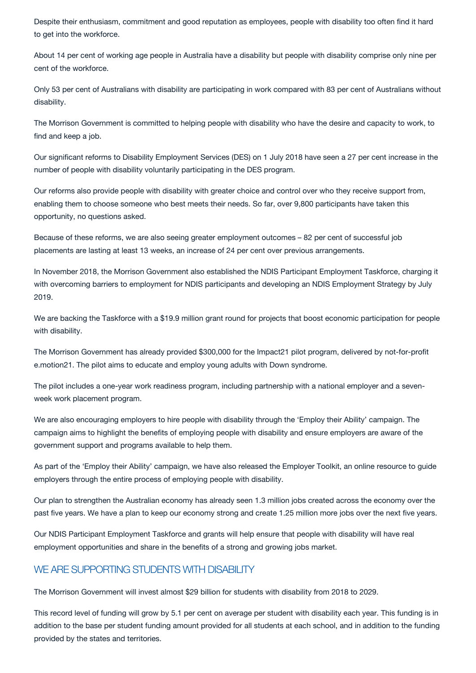Despite their enthusiasm, commitment and good reputation as employees, people with disability too often find it hard to get into the workforce.

About 14 per cent of working age people in Australia have a disability but people with disability comprise only nine per cent of the workforce.

Only 53 per cent of Australians with disability are participating in work compared with 83 per cent of Australians without disability.

The Morrison Government is committed to helping people with disability who have the desire and capacity to work, to find and keep a job.

Our significant reforms to Disability Employment Services (DES) on 1 July 2018 have seen a 27 per cent increase in the number of people with disability voluntarily participating in the DES program.

We are backing the Taskforce with a \$19.9 million grant round for projects that boost economic participation for people with disability.

Our reforms also provide people with disability with greater choice and control over who they receive support from, enabling them to choose someone who best meets their needs. So far, over 9,800 participants have taken this opportunity, no questions asked.

Because of these reforms, we are also seeing greater employment outcomes – 82 per cent of successful job placements are lasting at least 13 weeks, an increase of 24 per cent over previous arrangements.

In November 2018, the Morrison Government also established the NDIS Participant Employment Taskforce, charging it with overcoming barriers to employment for NDIS participants and developing an NDIS Employment Strategy by July 2019.

The Morrison Government has already provided \$300,000 for the Impact21 pilot program, delivered by not-for-profit e.motion21. The pilot aims to educate and employ young adults with Down syndrome.

The pilot includes a one-year work readiness program, including partnership with a national employer and a sevenweek work placement program.

We are also encouraging employers to hire people with disability through the 'Employ their Ability' campaign. The campaign aims to highlight the benefits of employing people with disability and ensure employers are aware of the government support and programs available to help them.

As part of the 'Employ their Ability' campaign, we have also released the Employer Toolkit, an online resource to guide employers through the entire process of employing people with disability.

Our plan to strengthen the Australian economy has already seen 1.3 million jobs created across the economy over the

past five years. We have a plan to keep our economy strong and create 1.25 million more jobs over the next five years.

Our NDIS Participant Employment Taskforce and grants will help ensure that people with disability will have real employment opportunities and share in the benefits of a strong and growing jobs market.

#### WE ARE SUPPORTING STUDENTS WITH DISABILITY

The Morrison Government will invest almost \$29 billion for students with disability from 2018 to 2029.

This record level of funding will grow by 5.1 per cent on average per student with disability each year. This funding is in addition to the base per student funding amount provided for all students at each school, and in addition to the funding provided by the states and territories.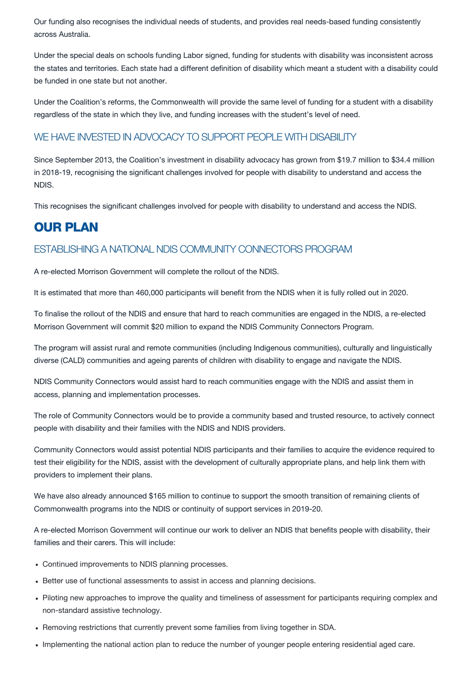Our funding also recognises the individual needs of students, and provides real needs-based funding consistently across Australia.

Under the special deals on schools funding Labor signed, funding for students with disability was inconsistent across the states and territories. Each state had a different definition of disability which meant a student with a disability could be funded in one state but not another.

Under the Coalition's reforms, the Commonwealth will provide the same level of funding for a student with a disability regardless of the state in which they live, and funding increases with the student's level of need.

## WE HAVE INVESTED IN ADVOCACY TO SUPPORT PEOPLE WITH DISABILITY

Since September 2013, the Coalition's investment in disability advocacy has grown from \$19.7 million to \$34.4 million in 2018-19, recognising the significant challenges involved for people with disability to understand and access the NDIS.

This recognises the significant challenges involved for people with disability to understand and access the NDIS.

# OUR PLAN

### ESTABLISHING A NATIONAL NDIS COMMUNITY CONNECTORS PROGRAM

A re-elected Morrison Government will complete the rollout of the NDIS.

It is estimated that more than 460,000 participants will benefit from the NDIS when it is fully rolled out in 2020.

- Continued improvements to NDIS planning processes.
- Better use of functional assessments to assist in access and planning decisions.
- Piloting new approaches to improve the quality and timeliness of assessment for participants requiring complex and non-standard assistive technology.
- Removing restrictions that currently prevent some families from living together in SDA.
- Implementing the national action plan to reduce the number of younger people entering residential aged care.

To finalise the rollout of the NDIS and ensure that hard to reach communities are engaged in the NDIS, a re-elected Morrison Government will commit \$20 million to expand the NDIS Community Connectors Program.

The program will assist rural and remote communities (including Indigenous communities), culturally and linguistically diverse (CALD) communities and ageing parents of children with disability to engage and navigate the NDIS.

NDIS Community Connectors would assist hard to reach communities engage with the NDIS and assist them in access, planning and implementation processes.

The role of Community Connectors would be to provide a community based and trusted resource, to actively connect people with disability and their families with the NDIS and NDIS providers.

Community Connectors would assist potential NDIS participants and their families to acquire the evidence required to test their eligibility for the NDIS, assist with the development of culturally appropriate plans, and help link them with providers to implement their plans.

We have also already announced \$165 million to continue to support the smooth transition of remaining clients of

#### Commonwealth programs into the NDIS or continuity of support services in 2019-20.

A re-elected Morrison Government will continue our work to deliver an NDIS that benefits people with disability, their families and their carers. This will include: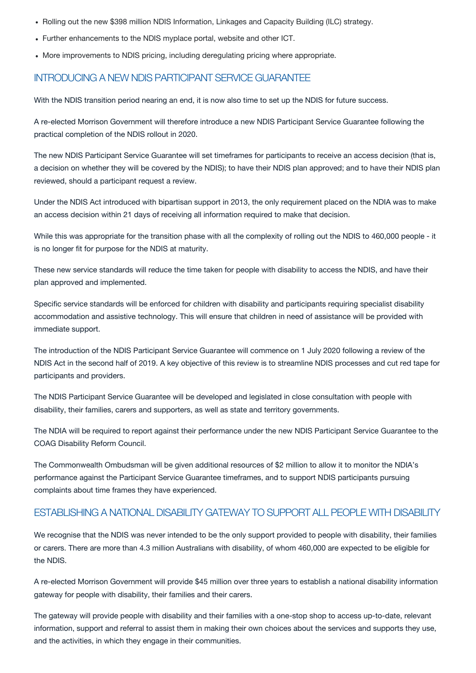- Rolling out the new \$398 million NDIS Information, Linkages and Capacity Building (ILC) strategy.
- Further enhancements to the NDIS myplace portal, website and other ICT.
- More improvements to NDIS pricing, including deregulating pricing where appropriate.

#### INTRODUCING A NEW NDIS PARTICIPANT SERVICE GUARANTEE

With the NDIS transition period nearing an end, it is now also time to set up the NDIS for future success.

A re-elected Morrison Government will therefore introduce a new NDIS Participant Service Guarantee following the practical completion of the NDIS rollout in 2020.

The new NDIS Participant Service Guarantee will set timeframes for participants to receive an access decision (that is, a decision on whether they will be covered by the NDIS); to have their NDIS plan approved; and to have their NDIS plan reviewed, should a participant request a review.

Under the NDIS Act introduced with bipartisan support in 2013, the only requirement placed on the NDIA was to make an access decision within 21 days of receiving all information required to make that decision.

While this was appropriate for the transition phase with all the complexity of rolling out the NDIS to 460,000 people - it is no longer fit for purpose for the NDIS at maturity.

These new service standards will reduce the time taken for people with disability to access the NDIS, and have their plan approved and implemented.

We recognise that the NDIS was never intended to be the only support provided to people with disability, their families or carers. There are more than 4.3 million Australians with disability, of whom 460,000 are expected to be eligible for the NDIS.

Specific service standards will be enforced for children with disability and participants requiring specialist disability accommodation and assistive technology. This will ensure that children in need of assistance will be provided with immediate support.

The introduction of the NDIS Participant Service Guarantee will commence on 1 July 2020 following a review of the NDIS Act in the second half of 2019. A key objective of this review is to streamline NDIS processes and cut red tape for participants and providers.

The NDIS Participant Service Guarantee will be developed and legislated in close consultation with people with disability, their families, carers and supporters, as well as state and territory governments.

The NDIA will be required to report against their performance under the new NDIS Participant Service Guarantee to the COAG Disability Reform Council.

The Commonwealth Ombudsman will be given additional resources of \$2 million to allow it to monitor the NDIA's performance against the Participant Service Guarantee timeframes, and to support NDIS participants pursuing complaints about time frames they have experienced.

#### ESTABLISHING A NATIONAL DISABILITY GATEWAY TO SUPPORT ALL PEOPLE WITH DISABILITY

A re-elected Morrison Government will provide \$45 million over three years to establish a national disability information gateway for people with disability, their families and their carers.

The gateway will provide people with disability and their families with a one-stop shop to access up-to-date, relevant information, support and referral to assist them in making their own choices about the services and supports they use, and the activities, in which they engage in their communities.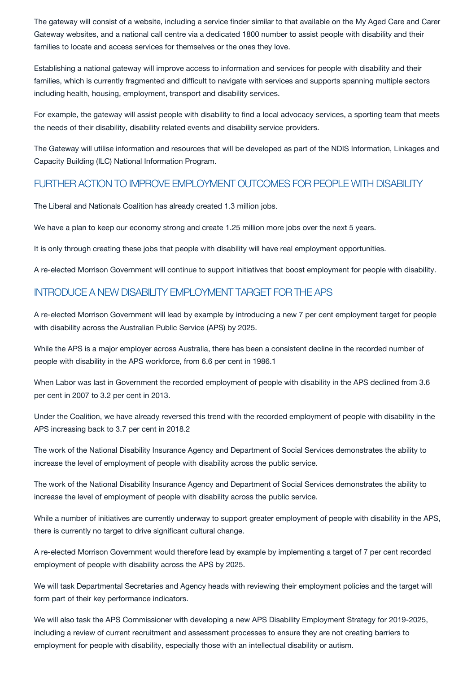The gateway will consist of a website, including a service finder similar to that available on the My Aged Care and Carer Gateway websites, and a national call centre via a dedicated 1800 number to assist people with disability and their families to locate and access services for themselves or the ones they love.

Establishing a national gateway will improve access to information and services for people with disability and their families, which is currently fragmented and difficult to navigate with services and supports spanning multiple sectors including health, housing, employment, transport and disability services.

For example, the gateway will assist people with disability to find a local advocacy services, a sporting team that meets the needs of their disability, disability related events and disability service providers.

The Gateway will utilise information and resources that will be developed as part of the NDIS Information, Linkages and Capacity Building (ILC) National Information Program.

### FURTHER ACTION TO IMPROVE EMPLOYMENT OUTCOMES FOR PEOPLE WITH DISABILITY

The Liberal and Nationals Coalition has already created 1.3 million jobs.

We have a plan to keep our economy strong and create 1.25 million more jobs over the next 5 years.

It is only through creating these jobs that people with disability will have real employment opportunities.

A re-elected Morrison Government will continue to support initiatives that boost employment for people with disability.

#### INTRODUCE A NEW DISABILITY EMPLOYMENT TARGET FOR THE APS

A re-elected Morrison Government will lead by example by introducing a new 7 per cent employment target for people with disability across the Australian Public Service (APS) by 2025.

While the APS is a major employer across Australia, there has been a consistent decline in the recorded number of people with disability in the APS workforce, from 6.6 per cent in 1986.1

When Labor was last in Government the recorded employment of people with disability in the APS declined from 3.6 per cent in 2007 to 3.2 per cent in 2013.

Under the Coalition, we have already reversed this trend with the recorded employment of people with disability in the APS increasing back to 3.7 per cent in 2018.2

The work of the National Disability Insurance Agency and Department of Social Services demonstrates the ability to increase the level of employment of people with disability across the public service.

The work of the National Disability Insurance Agency and Department of Social Services demonstrates the ability to increase the level of employment of people with disability across the public service.

While a number of initiatives are currently underway to support greater employment of people with disability in the APS, there is currently no target to drive significant cultural change.

A re-elected Morrison Government would therefore lead by example by implementing a target of 7 per cent recorded employment of people with disability across the APS by 2025.

We will task Departmental Secretaries and Agency heads with reviewing their employment policies and the target will form part of their key performance indicators.

We will also task the APS Commissioner with developing a new APS Disability Employment Strategy for 2019-2025, including a review of current recruitment and assessment processes to ensure they are not creating barriers to employment for people with disability, especially those with an intellectual disability or autism.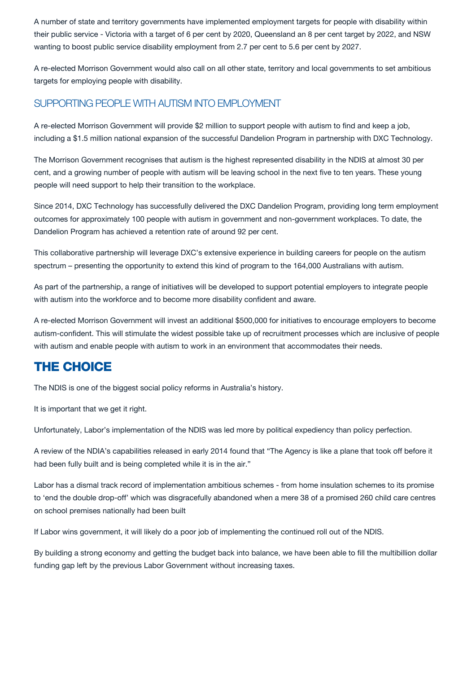A number of state and territory governments have implemented employment targets for people with disability within their public service - Victoria with a target of 6 per cent by 2020, Queensland an 8 per cent target by 2022, and NSW wanting to boost public service disability employment from 2.7 per cent to 5.6 per cent by 2027.

A re-elected Morrison Government would also call on all other state, territory and local governments to set ambitious targets for employing people with disability.

## SUPPORTING PEOPLE WITH AUTISM INTO EMPLOYMENT

A re-elected Morrison Government will provide \$2 million to support people with autism to find and keep a job, including a \$1.5 million national expansion of the successful Dandelion Program in partnership with DXC Technology.

The Morrison Government recognises that autism is the highest represented disability in the NDIS at almost 30 per cent, and a growing number of people with autism will be leaving school in the next five to ten years. These young people will need support to help their transition to the workplace.

Since 2014, DXC Technology has successfully delivered the DXC Dandelion Program, providing long term employment outcomes for approximately 100 people with autism in government and non-government workplaces. To date, the Dandelion Program has achieved a retention rate of around 92 per cent.

This collaborative partnership will leverage DXC's extensive experience in building careers for people on the autism spectrum – presenting the opportunity to extend this kind of program to the 164,000 Australians with autism.

As part of the partnership, a range of initiatives will be developed to support potential employers to integrate people with autism into the workforce and to become more disability confident and aware.

A re-elected Morrison Government will invest an additional \$500,000 for initiatives to encourage employers to become autism-confident. This will stimulate the widest possible take up of recruitment processes which are inclusive of people with autism and enable people with autism to work in an environment that accommodates their needs.

# THE CHOICE

The NDIS is one of the biggest social policy reforms in Australia's history.

It is important that we get it right.

Unfortunately, Labor's implementation of the NDIS was led more by political expediency than policy perfection.

A review of the NDIA's capabilities released in early 2014 found that "The Agency is like a plane that took off before it had been fully built and is being completed while it is in the air."

Labor has a dismal track record of implementation ambitious schemes - from home insulation schemes to its promise to 'end the double drop-off' which was disgracefully abandoned when a mere 38 of a promised 260 child care centres

If Labor wins government, it will likely do a poor job of implementing the continued roll out of the NDIS.

By building a strong economy and getting the budget back into balance, we have been able to fill the multibillion dollar funding gap left by the previous Labor Government without increasing taxes.